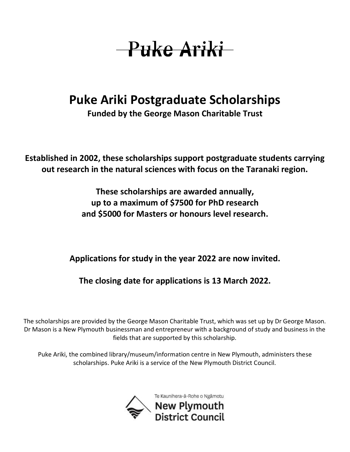## -Puke Ariki

## **Puke Ariki Postgraduate Scholarships**

**Funded by the George Mason Charitable Trust**

**Established in 2002, these scholarships support postgraduate students carrying out research in the natural sciences with focus on the Taranaki region.** 

> **These scholarships are awarded annually, up to a maximum of \$7500 for PhD research and \$5000 for Masters or honours level research.**

**Applications for study in the year 2022 are now invited.**

**The closing date for applications is 13 March 2022.**

The scholarships are provided by the George Mason Charitable Trust, which was set up by Dr George Mason. Dr Mason is a New Plymouth businessman and entrepreneur with a background of study and business in the fields that are supported by this scholarship.

Puke Ariki, the combined library/museum/information centre in New Plymouth, administers these scholarships. Puke Ariki is a service of the New Plymouth District Council.